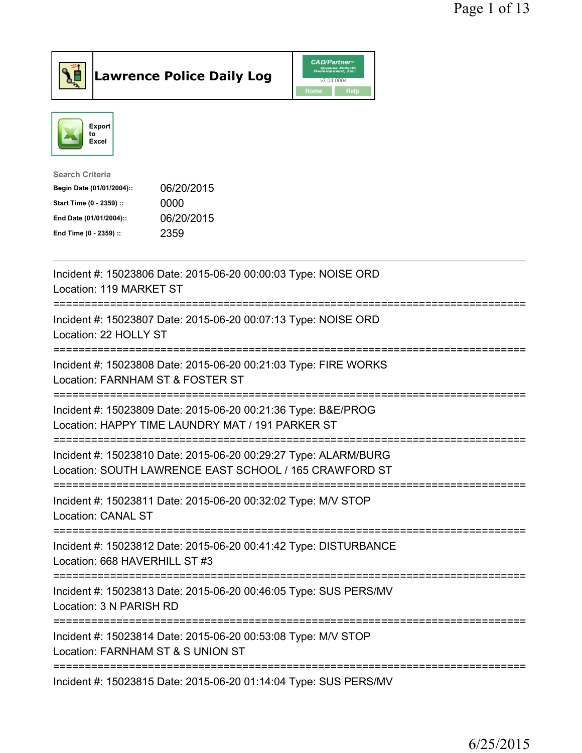

**Lawrence Police Daily Log** 



| <b>Search Criteria</b>    |            |
|---------------------------|------------|
| Begin Date (01/01/2004):: | 06/20/2015 |
| Start Time (0 - 2359) ::  | 0000       |
| End Date (01/01/2004)::   | 06/20/2015 |
| End Time (0 - 2359) ::    | 2359       |
|                           |            |

| Incident #: 15023806 Date: 2015-06-20 00:00:03 Type: NOISE ORD<br>Location: 119 MARKET ST                                                                           |
|---------------------------------------------------------------------------------------------------------------------------------------------------------------------|
| Incident #: 15023807 Date: 2015-06-20 00:07:13 Type: NOISE ORD<br>Location: 22 HOLLY ST<br>-------------                                                            |
| Incident #: 15023808 Date: 2015-06-20 00:21:03 Type: FIRE WORKS<br>Location: FARNHAM ST & FOSTER ST<br>=========================                                    |
| Incident #: 15023809 Date: 2015-06-20 00:21:36 Type: B&E/PROG<br>Location: HAPPY TIME LAUNDRY MAT / 191 PARKER ST<br>====================================           |
| Incident #: 15023810 Date: 2015-06-20 00:29:27 Type: ALARM/BURG<br>Location: SOUTH LAWRENCE EAST SCHOOL / 165 CRAWFORD ST<br>-------------------------------------- |
| Incident #: 15023811 Date: 2015-06-20 00:32:02 Type: M/V STOP<br><b>Location: CANAL ST</b><br>======================================                                |
| Incident #: 15023812 Date: 2015-06-20 00:41:42 Type: DISTURBANCE<br>Location: 668 HAVERHILL ST #3                                                                   |
| Incident #: 15023813 Date: 2015-06-20 00:46:05 Type: SUS PERS/MV<br>Location: 3 N PARISH RD                                                                         |
| Incident #: 15023814 Date: 2015-06-20 00:53:08 Type: M/V STOP<br>Location: FARNHAM ST & S UNION ST                                                                  |
| Incident #: 15023815 Date: 2015-06-20 01:14:04 Type: SUS PERS/MV                                                                                                    |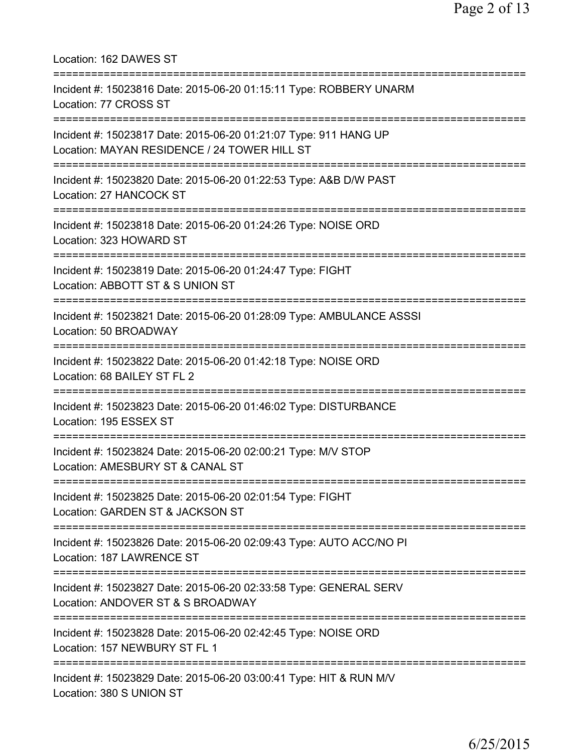| Location: 162 DAWES ST<br>====================================                                                                              |
|---------------------------------------------------------------------------------------------------------------------------------------------|
| Incident #: 15023816 Date: 2015-06-20 01:15:11 Type: ROBBERY UNARM<br>Location: 77 CROSS ST<br>====================================         |
| Incident #: 15023817 Date: 2015-06-20 01:21:07 Type: 911 HANG UP<br>Location: MAYAN RESIDENCE / 24 TOWER HILL ST                            |
| Incident #: 15023820 Date: 2015-06-20 01:22:53 Type: A&B D/W PAST<br>Location: 27 HANCOCK ST                                                |
| Incident #: 15023818 Date: 2015-06-20 01:24:26 Type: NOISE ORD<br>Location: 323 HOWARD ST                                                   |
| Incident #: 15023819 Date: 2015-06-20 01:24:47 Type: FIGHT<br>Location: ABBOTT ST & S UNION ST<br>============================              |
| Incident #: 15023821 Date: 2015-06-20 01:28:09 Type: AMBULANCE ASSSI<br>Location: 50 BROADWAY<br>================================           |
| Incident #: 15023822 Date: 2015-06-20 01:42:18 Type: NOISE ORD<br>Location: 68 BAILEY ST FL 2                                               |
| Incident #: 15023823 Date: 2015-06-20 01:46:02 Type: DISTURBANCE<br>Location: 195 ESSEX ST                                                  |
| Incident #: 15023824 Date: 2015-06-20 02:00:21 Type: M/V STOP<br>Location: AMESBURY ST & CANAL ST<br>====================================== |
| Incident #: 15023825 Date: 2015-06-20 02:01:54 Type: FIGHT<br>Location: GARDEN ST & JACKSON ST<br>=====================                     |
| Incident #: 15023826 Date: 2015-06-20 02:09:43 Type: AUTO ACC/NO PI<br>Location: 187 LAWRENCE ST                                            |
| Incident #: 15023827 Date: 2015-06-20 02:33:58 Type: GENERAL SERV<br>Location: ANDOVER ST & S BROADWAY                                      |
| Incident #: 15023828 Date: 2015-06-20 02:42:45 Type: NOISE ORD<br>Location: 157 NEWBURY ST FL 1                                             |
| Incident #: 15023829 Date: 2015-06-20 03:00:41 Type: HIT & RUN M/V<br>Location: 380 S UNION ST                                              |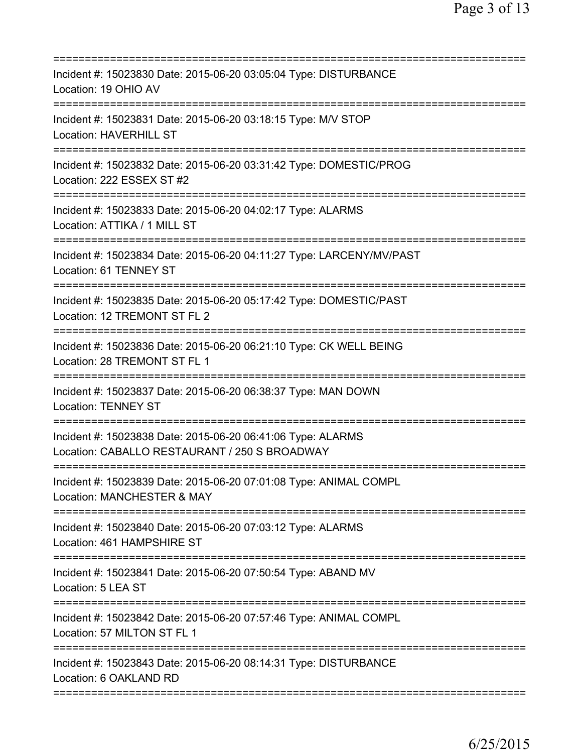| Incident #: 15023830 Date: 2015-06-20 03:05:04 Type: DISTURBANCE<br>Location: 19 OHIO AV                                    |
|-----------------------------------------------------------------------------------------------------------------------------|
| Incident #: 15023831 Date: 2015-06-20 03:18:15 Type: M/V STOP<br><b>Location: HAVERHILL ST</b>                              |
| Incident #: 15023832 Date: 2015-06-20 03:31:42 Type: DOMESTIC/PROG<br>Location: 222 ESSEX ST #2                             |
| Incident #: 15023833 Date: 2015-06-20 04:02:17 Type: ALARMS<br>Location: ATTIKA / 1 MILL ST                                 |
| Incident #: 15023834 Date: 2015-06-20 04:11:27 Type: LARCENY/MV/PAST<br>Location: 61 TENNEY ST                              |
| Incident #: 15023835 Date: 2015-06-20 05:17:42 Type: DOMESTIC/PAST<br>Location: 12 TREMONT ST FL 2                          |
| Incident #: 15023836 Date: 2015-06-20 06:21:10 Type: CK WELL BEING<br>Location: 28 TREMONT ST FL 1<br>===================== |
| Incident #: 15023837 Date: 2015-06-20 06:38:37 Type: MAN DOWN<br><b>Location: TENNEY ST</b>                                 |
| Incident #: 15023838 Date: 2015-06-20 06:41:06 Type: ALARMS<br>Location: CABALLO RESTAURANT / 250 S BROADWAY                |
| Incident #: 15023839 Date: 2015-06-20 07:01:08 Type: ANIMAL COMPL<br>Location: MANCHESTER & MAY                             |
| ===========================<br>Incident #: 15023840 Date: 2015-06-20 07:03:12 Type: ALARMS<br>Location: 461 HAMPSHIRE ST    |
| Incident #: 15023841 Date: 2015-06-20 07:50:54 Type: ABAND MV<br>Location: 5 LEA ST                                         |
| Incident #: 15023842 Date: 2015-06-20 07:57:46 Type: ANIMAL COMPL<br>Location: 57 MILTON ST FL 1                            |
| Incident #: 15023843 Date: 2015-06-20 08:14:31 Type: DISTURBANCE<br>Location: 6 OAKLAND RD                                  |
|                                                                                                                             |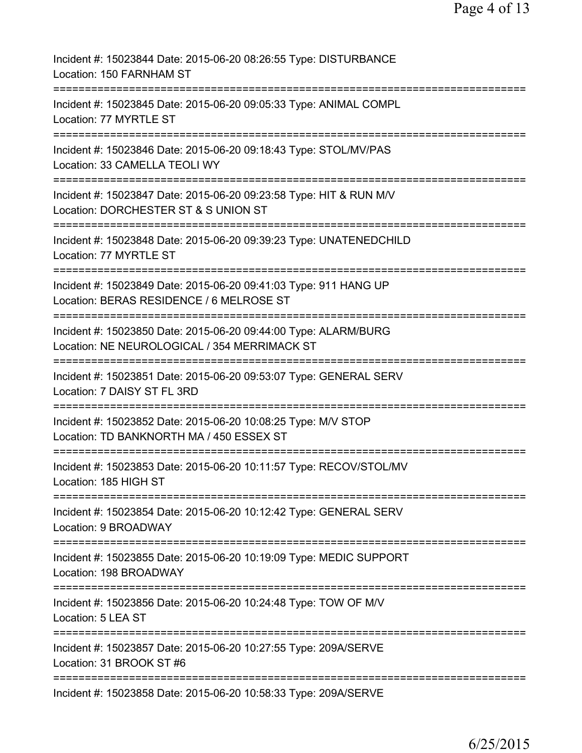| Incident #: 15023844 Date: 2015-06-20 08:26:55 Type: DISTURBANCE<br>Location: 150 FARNHAM ST                                               |
|--------------------------------------------------------------------------------------------------------------------------------------------|
| Incident #: 15023845 Date: 2015-06-20 09:05:33 Type: ANIMAL COMPL<br>Location: 77 MYRTLE ST                                                |
| Incident #: 15023846 Date: 2015-06-20 09:18:43 Type: STOL/MV/PAS<br>Location: 33 CAMELLA TEOLI WY                                          |
| Incident #: 15023847 Date: 2015-06-20 09:23:58 Type: HIT & RUN M/V<br>Location: DORCHESTER ST & S UNION ST                                 |
| Incident #: 15023848 Date: 2015-06-20 09:39:23 Type: UNATENEDCHILD<br>Location: 77 MYRTLE ST                                               |
| Incident #: 15023849 Date: 2015-06-20 09:41:03 Type: 911 HANG UP<br>Location: BERAS RESIDENCE / 6 MELROSE ST                               |
| Incident #: 15023850 Date: 2015-06-20 09:44:00 Type: ALARM/BURG<br>Location: NE NEUROLOGICAL / 354 MERRIMACK ST                            |
| Incident #: 15023851 Date: 2015-06-20 09:53:07 Type: GENERAL SERV<br>Location: 7 DAISY ST FL 3RD<br>:===================================== |
| Incident #: 15023852 Date: 2015-06-20 10:08:25 Type: M/V STOP<br>Location: TD BANKNORTH MA / 450 ESSEX ST                                  |
| Incident #: 15023853 Date: 2015-06-20 10:11:57 Type: RECOV/STOL/MV<br>Location: 185 HIGH ST                                                |
| Incident #: 15023854 Date: 2015-06-20 10:12:42 Type: GENERAL SERV<br>Location: 9 BROADWAY                                                  |
| Incident #: 15023855 Date: 2015-06-20 10:19:09 Type: MEDIC SUPPORT<br>Location: 198 BROADWAY                                               |
| Incident #: 15023856 Date: 2015-06-20 10:24:48 Type: TOW OF M/V<br>Location: 5 LEA ST                                                      |
| Incident #: 15023857 Date: 2015-06-20 10:27:55 Type: 209A/SERVE<br>Location: 31 BROOK ST #6                                                |
| Incident #: 15023858 Date: 2015-06-20 10:58:33 Type: 209A/SERVE                                                                            |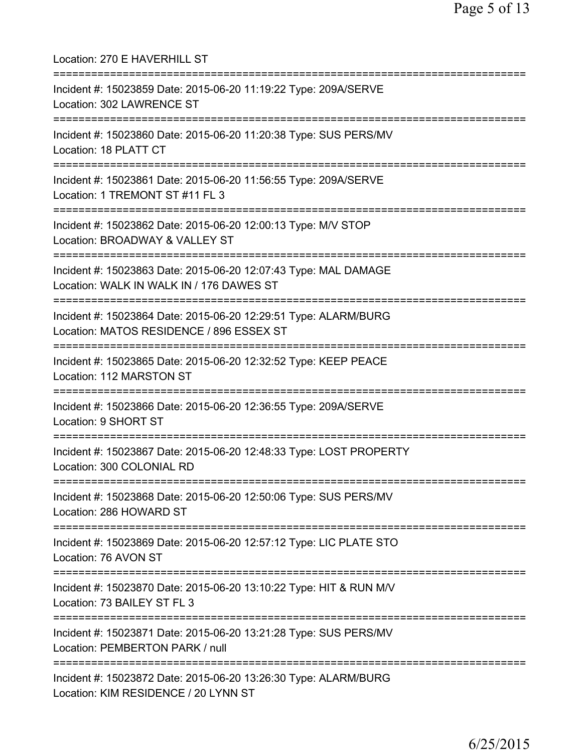| Location: 270 E HAVERHILL ST<br>===============================                                                                                      |
|------------------------------------------------------------------------------------------------------------------------------------------------------|
| Incident #: 15023859 Date: 2015-06-20 11:19:22 Type: 209A/SERVE<br>Location: 302 LAWRENCE ST<br>====================================                 |
| Incident #: 15023860 Date: 2015-06-20 11:20:38 Type: SUS PERS/MV<br>Location: 18 PLATT CT<br>================================                        |
| Incident #: 15023861 Date: 2015-06-20 11:56:55 Type: 209A/SERVE<br>Location: 1 TREMONT ST #11 FL 3                                                   |
| Incident #: 15023862 Date: 2015-06-20 12:00:13 Type: M/V STOP<br>Location: BROADWAY & VALLEY ST                                                      |
| Incident #: 15023863 Date: 2015-06-20 12:07:43 Type: MAL DAMAGE<br>Location: WALK IN WALK IN / 176 DAWES ST<br>=========================             |
| Incident #: 15023864 Date: 2015-06-20 12:29:51 Type: ALARM/BURG<br>Location: MATOS RESIDENCE / 896 ESSEX ST<br>===================================== |
| Incident #: 15023865 Date: 2015-06-20 12:32:52 Type: KEEP PEACE<br>Location: 112 MARSTON ST                                                          |
| Incident #: 15023866 Date: 2015-06-20 12:36:55 Type: 209A/SERVE<br>Location: 9 SHORT ST                                                              |
| Incident #: 15023867 Date: 2015-06-20 12:48:33 Type: LOST PROPERTY<br>Location: 300 COLONIAL RD                                                      |
| Incident #: 15023868 Date: 2015-06-20 12:50:06 Type: SUS PERS/MV<br>Location: 286 HOWARD ST                                                          |
| Incident #: 15023869 Date: 2015-06-20 12:57:12 Type: LIC PLATE STO<br>Location: 76 AVON ST                                                           |
| Incident #: 15023870 Date: 2015-06-20 13:10:22 Type: HIT & RUN M/V<br>Location: 73 BAILEY ST FL 3                                                    |
| Incident #: 15023871 Date: 2015-06-20 13:21:28 Type: SUS PERS/MV<br>Location: PEMBERTON PARK / null                                                  |
| Incident #: 15023872 Date: 2015-06-20 13:26:30 Type: ALARM/BURG<br>Location: KIM RESIDENCE / 20 LYNN ST                                              |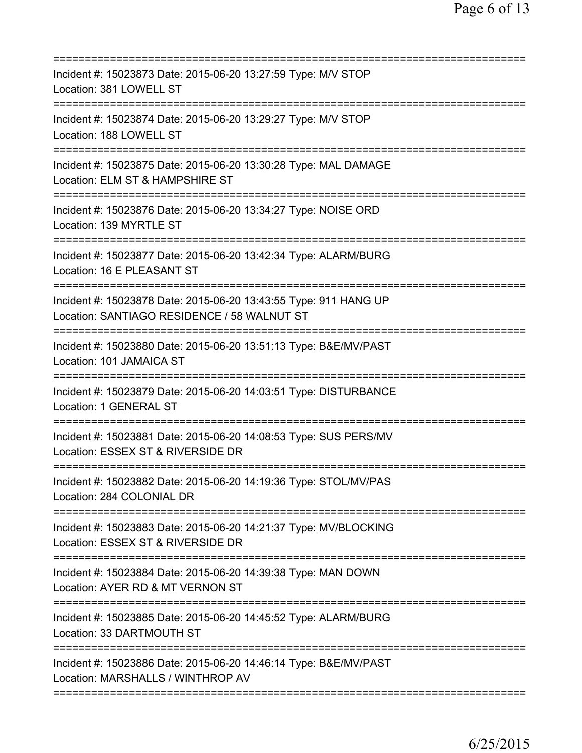| Incident #: 15023873 Date: 2015-06-20 13:27:59 Type: M/V STOP<br>Location: 381 LOWELL ST                                           |
|------------------------------------------------------------------------------------------------------------------------------------|
| Incident #: 15023874 Date: 2015-06-20 13:29:27 Type: M/V STOP<br>Location: 188 LOWELL ST                                           |
| Incident #: 15023875 Date: 2015-06-20 13:30:28 Type: MAL DAMAGE<br>Location: ELM ST & HAMPSHIRE ST<br>=======================      |
| Incident #: 15023876 Date: 2015-06-20 13:34:27 Type: NOISE ORD<br>Location: 139 MYRTLE ST                                          |
| Incident #: 15023877 Date: 2015-06-20 13:42:34 Type: ALARM/BURG<br>Location: 16 E PLEASANT ST                                      |
| Incident #: 15023878 Date: 2015-06-20 13:43:55 Type: 911 HANG UP<br>Location: SANTIAGO RESIDENCE / 58 WALNUT ST                    |
| Incident #: 15023880 Date: 2015-06-20 13:51:13 Type: B&E/MV/PAST<br>Location: 101 JAMAICA ST                                       |
| Incident #: 15023879 Date: 2015-06-20 14:03:51 Type: DISTURBANCE<br>Location: 1 GENERAL ST                                         |
| Incident #: 15023881 Date: 2015-06-20 14:08:53 Type: SUS PERS/MV<br>Location: ESSEX ST & RIVERSIDE DR                              |
| Incident #: 15023882 Date: 2015-06-20 14:19:36 Type: STOL/MV/PAS<br>Location: 284 COLONIAL DR                                      |
| Incident #: 15023883 Date: 2015-06-20 14:21:37 Type: MV/BLOCKING<br>Location: ESSEX ST & RIVERSIDE DR                              |
| Incident #: 15023884 Date: 2015-06-20 14:39:38 Type: MAN DOWN<br>Location: AYER RD & MT VERNON ST<br>============================= |
| Incident #: 15023885 Date: 2015-06-20 14:45:52 Type: ALARM/BURG<br>Location: 33 DARTMOUTH ST                                       |
| Incident #: 15023886 Date: 2015-06-20 14:46:14 Type: B&E/MV/PAST<br>Location: MARSHALLS / WINTHROP AV                              |
|                                                                                                                                    |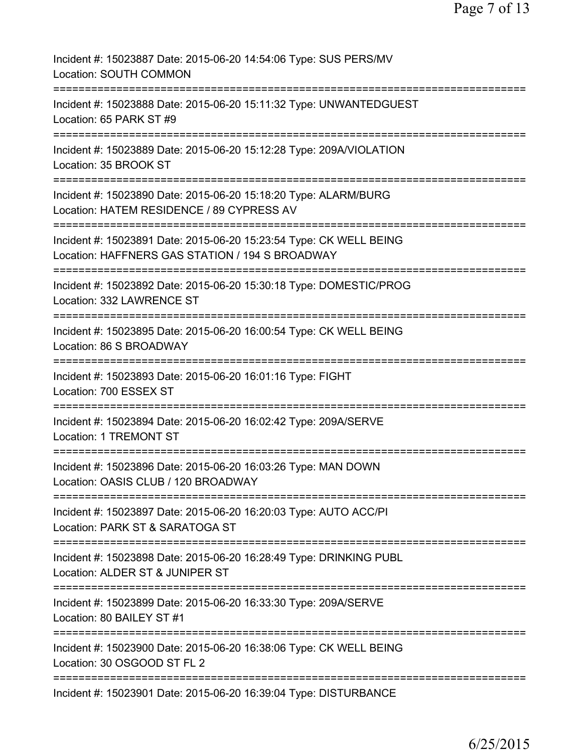| Incident #: 15023887 Date: 2015-06-20 14:54:06 Type: SUS PERS/MV<br>Location: SOUTH COMMON                                  |
|-----------------------------------------------------------------------------------------------------------------------------|
| Incident #: 15023888 Date: 2015-06-20 15:11:32 Type: UNWANTEDGUEST<br>Location: 65 PARK ST #9                               |
| Incident #: 15023889 Date: 2015-06-20 15:12:28 Type: 209A/VIOLATION<br>Location: 35 BROOK ST                                |
| Incident #: 15023890 Date: 2015-06-20 15:18:20 Type: ALARM/BURG<br>Location: HATEM RESIDENCE / 89 CYPRESS AV                |
| Incident #: 15023891 Date: 2015-06-20 15:23:54 Type: CK WELL BEING<br>Location: HAFFNERS GAS STATION / 194 S BROADWAY       |
| Incident #: 15023892 Date: 2015-06-20 15:30:18 Type: DOMESTIC/PROG<br>Location: 332 LAWRENCE ST                             |
| Incident #: 15023895 Date: 2015-06-20 16:00:54 Type: CK WELL BEING<br>Location: 86 S BROADWAY                               |
| Incident #: 15023893 Date: 2015-06-20 16:01:16 Type: FIGHT<br>Location: 700 ESSEX ST<br>:================================== |
| Incident #: 15023894 Date: 2015-06-20 16:02:42 Type: 209A/SERVE<br>Location: 1 TREMONT ST                                   |
| Incident #: 15023896 Date: 2015-06-20 16:03:26 Type: MAN DOWN<br>Location: OASIS CLUB / 120 BROADWAY                        |
| Incident #: 15023897 Date: 2015-06-20 16:20:03 Type: AUTO ACC/PI<br>Location: PARK ST & SARATOGA ST                         |
| Incident #: 15023898 Date: 2015-06-20 16:28:49 Type: DRINKING PUBL<br>Location: ALDER ST & JUNIPER ST                       |
| Incident #: 15023899 Date: 2015-06-20 16:33:30 Type: 209A/SERVE<br>Location: 80 BAILEY ST #1                                |
| Incident #: 15023900 Date: 2015-06-20 16:38:06 Type: CK WELL BEING<br>Location: 30 OSGOOD ST FL 2                           |
| Incident #: 15023901 Date: 2015-06-20 16:39:04 Type: DISTURBANCE                                                            |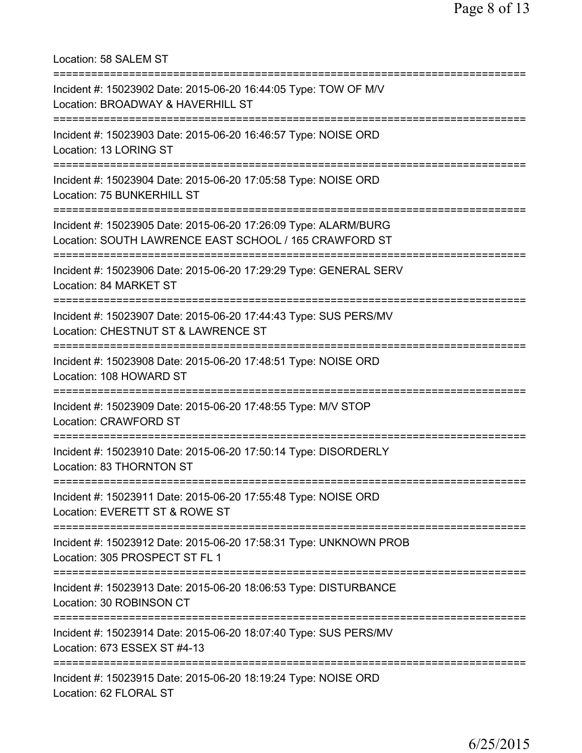Location: 58 SALEM ST

| Incident #: 15023902 Date: 2015-06-20 16:44:05 Type: TOW OF M/V<br>Location: BROADWAY & HAVERHILL ST                      |
|---------------------------------------------------------------------------------------------------------------------------|
| Incident #: 15023903 Date: 2015-06-20 16:46:57 Type: NOISE ORD<br>Location: 13 LORING ST                                  |
| Incident #: 15023904 Date: 2015-06-20 17:05:58 Type: NOISE ORD<br>Location: 75 BUNKERHILL ST                              |
| Incident #: 15023905 Date: 2015-06-20 17:26:09 Type: ALARM/BURG<br>Location: SOUTH LAWRENCE EAST SCHOOL / 165 CRAWFORD ST |
| Incident #: 15023906 Date: 2015-06-20 17:29:29 Type: GENERAL SERV<br>Location: 84 MARKET ST                               |
| Incident #: 15023907 Date: 2015-06-20 17:44:43 Type: SUS PERS/MV<br>Location: CHESTNUT ST & LAWRENCE ST                   |
| Incident #: 15023908 Date: 2015-06-20 17:48:51 Type: NOISE ORD<br>Location: 108 HOWARD ST                                 |
| Incident #: 15023909 Date: 2015-06-20 17:48:55 Type: M/V STOP<br>Location: CRAWFORD ST                                    |
| Incident #: 15023910 Date: 2015-06-20 17:50:14 Type: DISORDERLY<br>Location: 83 THORNTON ST                               |
| Incident #: 15023911 Date: 2015-06-20 17:55:48 Type: NOISE ORD<br>Location: EVERETT ST & ROWE ST                          |
| Incident #: 15023912 Date: 2015-06-20 17:58:31 Type: UNKNOWN PROB<br>Location: 305 PROSPECT ST FL 1                       |
| Incident #: 15023913 Date: 2015-06-20 18:06:53 Type: DISTURBANCE<br>Location: 30 ROBINSON CT                              |
| Incident #: 15023914 Date: 2015-06-20 18:07:40 Type: SUS PERS/MV<br>Location: 673 ESSEX ST #4-13                          |
| Incident #: 15023915 Date: 2015-06-20 18:19:24 Type: NOISE ORD<br>Location: 62 FLORAL ST                                  |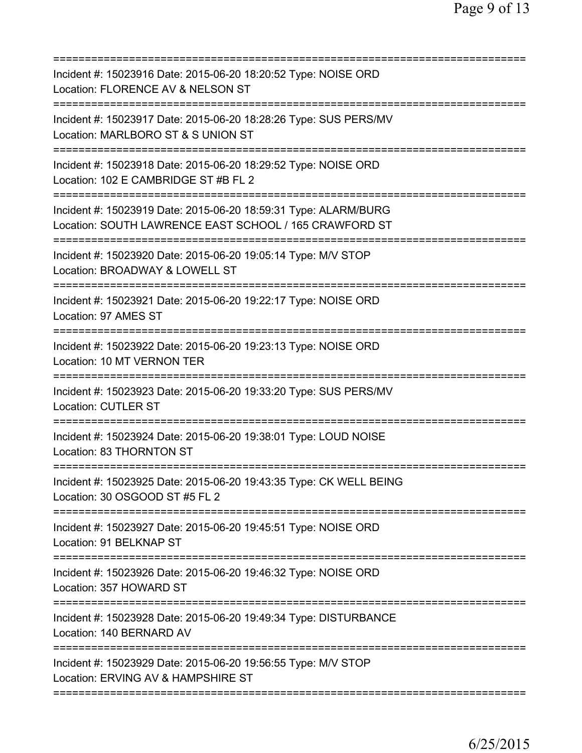| Incident #: 15023916 Date: 2015-06-20 18:20:52 Type: NOISE ORD<br>Location: FLORENCE AV & NELSON ST                                                            |
|----------------------------------------------------------------------------------------------------------------------------------------------------------------|
| Incident #: 15023917 Date: 2015-06-20 18:28:26 Type: SUS PERS/MV<br>Location: MARLBORO ST & S UNION ST                                                         |
| Incident #: 15023918 Date: 2015-06-20 18:29:52 Type: NOISE ORD<br>Location: 102 E CAMBRIDGE ST #B FL 2                                                         |
| Incident #: 15023919 Date: 2015-06-20 18:59:31 Type: ALARM/BURG<br>Location: SOUTH LAWRENCE EAST SCHOOL / 165 CRAWFORD ST<br>================================= |
| Incident #: 15023920 Date: 2015-06-20 19:05:14 Type: M/V STOP<br>Location: BROADWAY & LOWELL ST                                                                |
| Incident #: 15023921 Date: 2015-06-20 19:22:17 Type: NOISE ORD<br>Location: 97 AMES ST                                                                         |
| Incident #: 15023922 Date: 2015-06-20 19:23:13 Type: NOISE ORD<br>Location: 10 MT VERNON TER                                                                   |
| Incident #: 15023923 Date: 2015-06-20 19:33:20 Type: SUS PERS/MV<br><b>Location: CUTLER ST</b>                                                                 |
| Incident #: 15023924 Date: 2015-06-20 19:38:01 Type: LOUD NOISE<br>Location: 83 THORNTON ST                                                                    |
| Incident #: 15023925 Date: 2015-06-20 19:43:35 Type: CK WELL BEING<br>Location: 30 OSGOOD ST #5 FL 2<br>=========================                              |
| Incident #: 15023927 Date: 2015-06-20 19:45:51 Type: NOISE ORD<br>Location: 91 BELKNAP ST                                                                      |
| Incident #: 15023926 Date: 2015-06-20 19:46:32 Type: NOISE ORD<br>Location: 357 HOWARD ST                                                                      |
| Incident #: 15023928 Date: 2015-06-20 19:49:34 Type: DISTURBANCE<br>Location: 140 BERNARD AV                                                                   |
| Incident #: 15023929 Date: 2015-06-20 19:56:55 Type: M/V STOP<br>Location: ERVING AV & HAMPSHIRE ST                                                            |
|                                                                                                                                                                |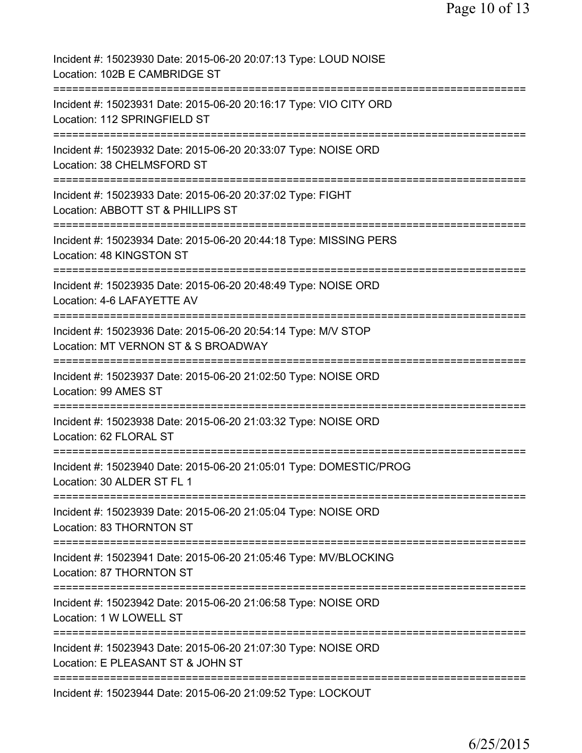| Incident #: 15023930 Date: 2015-06-20 20:07:13 Type: LOUD NOISE<br>Location: 102B E CAMBRIDGE ST                          |
|---------------------------------------------------------------------------------------------------------------------------|
| Incident #: 15023931 Date: 2015-06-20 20:16:17 Type: VIO CITY ORD<br>Location: 112 SPRINGFIELD ST                         |
| Incident #: 15023932 Date: 2015-06-20 20:33:07 Type: NOISE ORD<br>Location: 38 CHELMSFORD ST                              |
| Incident #: 15023933 Date: 2015-06-20 20:37:02 Type: FIGHT<br>Location: ABBOTT ST & PHILLIPS ST                           |
| :=======================<br>Incident #: 15023934 Date: 2015-06-20 20:44:18 Type: MISSING PERS<br>Location: 48 KINGSTON ST |
| Incident #: 15023935 Date: 2015-06-20 20:48:49 Type: NOISE ORD<br>Location: 4-6 LAFAYETTE AV                              |
| Incident #: 15023936 Date: 2015-06-20 20:54:14 Type: M/V STOP<br>Location: MT VERNON ST & S BROADWAY                      |
| Incident #: 15023937 Date: 2015-06-20 21:02:50 Type: NOISE ORD<br>Location: 99 AMES ST                                    |
| Incident #: 15023938 Date: 2015-06-20 21:03:32 Type: NOISE ORD<br>Location: 62 FLORAL ST                                  |
| Incident #: 15023940 Date: 2015-06-20 21:05:01 Type: DOMESTIC/PROG<br>Location: 30 ALDER ST FL 1                          |
| Incident #: 15023939 Date: 2015-06-20 21:05:04 Type: NOISE ORD<br>Location: 83 THORNTON ST                                |
| Incident #: 15023941 Date: 2015-06-20 21:05:46 Type: MV/BLOCKING<br>Location: 87 THORNTON ST                              |
| Incident #: 15023942 Date: 2015-06-20 21:06:58 Type: NOISE ORD<br>Location: 1 W LOWELL ST                                 |
| Incident #: 15023943 Date: 2015-06-20 21:07:30 Type: NOISE ORD<br>Location: E PLEASANT ST & JOHN ST                       |
| Incident #: 15023944 Date: 2015-06-20 21:09:52 Type: LOCKOUT                                                              |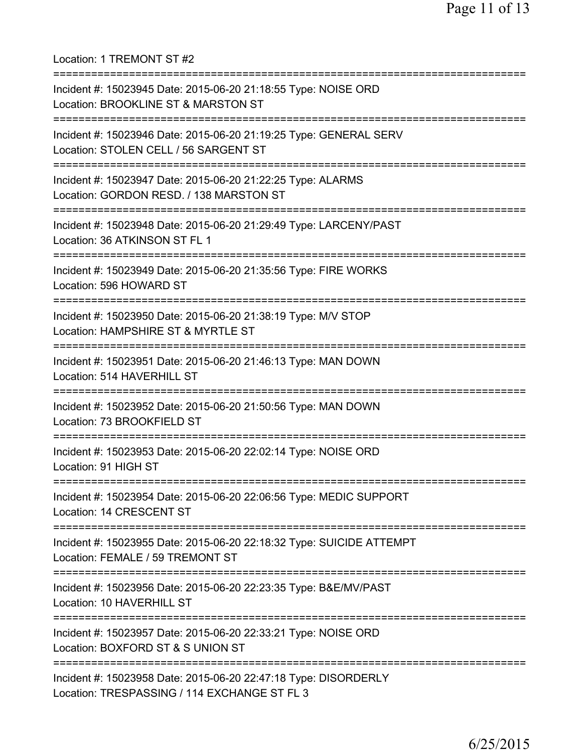Location: 1 TREMONT ST #2 =========================================================================== Incident #: 15023945 Date: 2015-06-20 21:18:55 Type: NOISE ORD Location: BROOKLINE ST & MARSTON ST =========================================================================== Incident #: 15023946 Date: 2015-06-20 21:19:25 Type: GENERAL SERV Location: STOLEN CELL / 56 SARGENT ST =========================================================================== Incident #: 15023947 Date: 2015-06-20 21:22:25 Type: ALARMS Location: GORDON RESD. / 138 MARSTON ST =========================================================================== Incident #: 15023948 Date: 2015-06-20 21:29:49 Type: LARCENY/PAST Location: 36 ATKINSON ST FL 1 =========================================================================== Incident #: 15023949 Date: 2015-06-20 21:35:56 Type: FIRE WORKS Location: 596 HOWARD ST =========================================================================== Incident #: 15023950 Date: 2015-06-20 21:38:19 Type: M/V STOP Location: HAMPSHIRE ST & MYRTLE ST =========================================================================== Incident #: 15023951 Date: 2015-06-20 21:46:13 Type: MAN DOWN Location: 514 HAVERHILL ST =========================================================================== Incident #: 15023952 Date: 2015-06-20 21:50:56 Type: MAN DOWN Location: 73 BROOKFIELD ST =========================================================================== Incident #: 15023953 Date: 2015-06-20 22:02:14 Type: NOISE ORD Location: 91 HIGH ST =========================================================================== Incident #: 15023954 Date: 2015-06-20 22:06:56 Type: MEDIC SUPPORT Location: 14 CRESCENT ST =========================================================================== Incident #: 15023955 Date: 2015-06-20 22:18:32 Type: SUICIDE ATTEMPT Location: FEMALE / 59 TREMONT ST =========================================================================== Incident #: 15023956 Date: 2015-06-20 22:23:35 Type: B&E/MV/PAST Location: 10 HAVERHILL ST =========================================================================== Incident #: 15023957 Date: 2015-06-20 22:33:21 Type: NOISE ORD Location: BOXFORD ST & S UNION ST =========================================================================== Incident #: 15023958 Date: 2015-06-20 22:47:18 Type: DISORDERLY Location: TRESPASSING / 114 EXCHANGE ST FL 3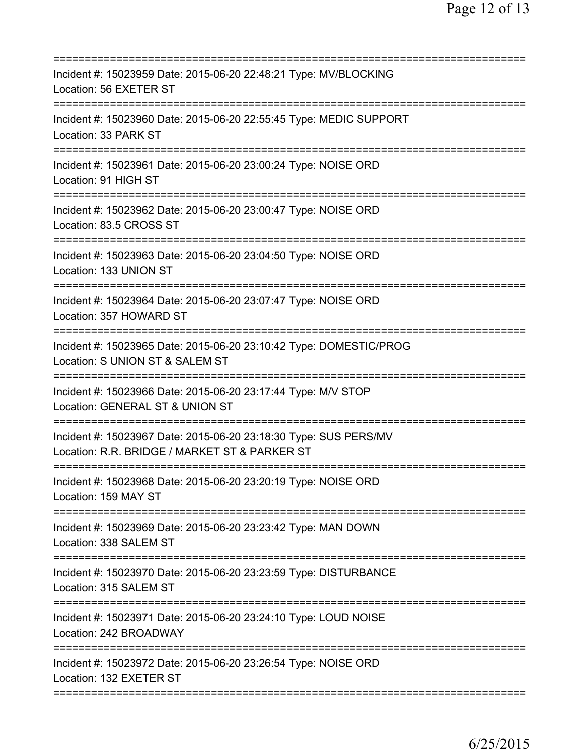| Incident #: 15023959 Date: 2015-06-20 22:48:21 Type: MV/BLOCKING<br>Location: 56 EXETER ST                                                       |
|--------------------------------------------------------------------------------------------------------------------------------------------------|
| Incident #: 15023960 Date: 2015-06-20 22:55:45 Type: MEDIC SUPPORT<br>Location: 33 PARK ST                                                       |
| Incident #: 15023961 Date: 2015-06-20 23:00:24 Type: NOISE ORD<br>Location: 91 HIGH ST                                                           |
| Incident #: 15023962 Date: 2015-06-20 23:00:47 Type: NOISE ORD<br>Location: 83.5 CROSS ST                                                        |
| Incident #: 15023963 Date: 2015-06-20 23:04:50 Type: NOISE ORD<br>Location: 133 UNION ST                                                         |
| Incident #: 15023964 Date: 2015-06-20 23:07:47 Type: NOISE ORD<br>Location: 357 HOWARD ST                                                        |
| Incident #: 15023965 Date: 2015-06-20 23:10:42 Type: DOMESTIC/PROG<br>Location: S UNION ST & SALEM ST                                            |
| Incident #: 15023966 Date: 2015-06-20 23:17:44 Type: M/V STOP<br>Location: GENERAL ST & UNION ST<br>===========================<br>============= |
| Incident #: 15023967 Date: 2015-06-20 23:18:30 Type: SUS PERS/MV<br>Location: R.R. BRIDGE / MARKET ST & PARKER ST                                |
| Incident #: 15023968 Date: 2015-06-20 23:20:19 Type: NOISE ORD<br>Location: 159 MAY ST<br>.===================================                   |
| Incident #: 15023969 Date: 2015-06-20 23:23:42 Type: MAN DOWN<br>Location: 338 SALEM ST                                                          |
| Incident #: 15023970 Date: 2015-06-20 23:23:59 Type: DISTURBANCE<br>Location: 315 SALEM ST                                                       |
| Incident #: 15023971 Date: 2015-06-20 23:24:10 Type: LOUD NOISE<br>Location: 242 BROADWAY                                                        |
| Incident #: 15023972 Date: 2015-06-20 23:26:54 Type: NOISE ORD<br>Location: 132 EXETER ST                                                        |
|                                                                                                                                                  |